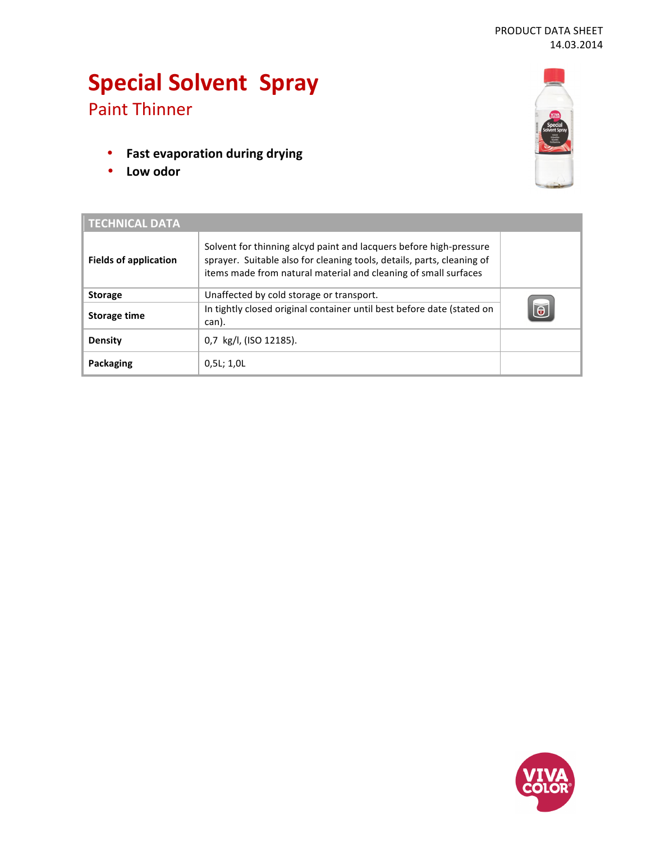# **Special Solvent Spray** Paint Thinner

- **•** Fast evaporation during drying
- **Low odor**



| <b>TECHNICAL DATA</b>        |                                                                                                                                                                                                                 |          |
|------------------------------|-----------------------------------------------------------------------------------------------------------------------------------------------------------------------------------------------------------------|----------|
| <b>Fields of application</b> | Solvent for thinning alcyd paint and lacquers before high-pressure<br>sprayer. Suitable also for cleaning tools, details, parts, cleaning of<br>items made from natural material and cleaning of small surfaces |          |
| <b>Storage</b>               | Unaffected by cold storage or transport.                                                                                                                                                                        | $\Theta$ |
| Storage time                 | In tightly closed original container until best before date (stated on<br>can).                                                                                                                                 |          |
| <b>Density</b>               | 0,7 kg/l, (ISO 12185).                                                                                                                                                                                          |          |
| Packaging                    | 0.5L; 1.0L                                                                                                                                                                                                      |          |